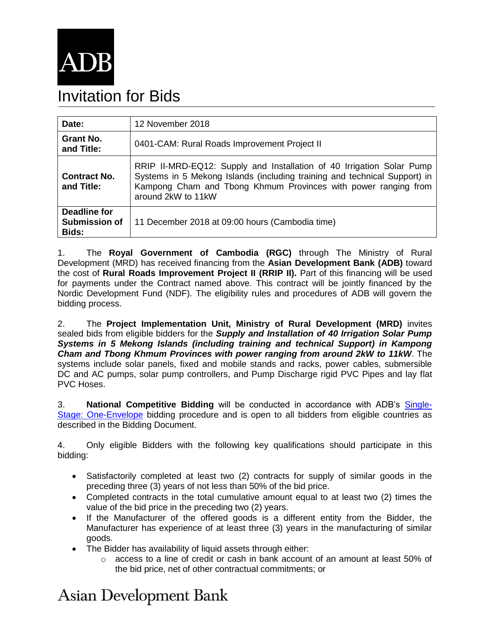

## Invitation for Bids

| Date:                                  | 12 November 2018                                                                                                                                                                                                                           |
|----------------------------------------|--------------------------------------------------------------------------------------------------------------------------------------------------------------------------------------------------------------------------------------------|
| Grant No.<br>and Title:                | 0401-CAM: Rural Roads Improvement Project II                                                                                                                                                                                               |
| <b>Contract No.</b><br>and Title:      | RRIP II-MRD-EQ12: Supply and Installation of 40 Irrigation Solar Pump<br>Systems in 5 Mekong Islands (including training and technical Support) in<br>Kampong Cham and Tbong Khmum Provinces with power ranging from<br>around 2kW to 11kW |
| Deadline for<br>Submission of<br>Bids: | 11 December 2018 at 09:00 hours (Cambodia time)                                                                                                                                                                                            |

1. The **Royal Government of Cambodia (RGC)** through The Ministry of Rural Development (MRD) has received financing from the **Asian Development Bank (ADB)** toward the cost of **Rural Roads Improvement Project II (RRIP II).** Part of this financing will be used for payments under the Contract named above. This contract will be jointly financed by the Nordic Development Fund (NDF). The eligibility rules and procedures of ADB will govern the bidding process.

2. The **Project Implementation Unit, Ministry of Rural Development (MRD)** invites sealed bids from eligible bidders for the *Supply and Installation of 40 Irrigation Solar Pump Systems in 5 Mekong Islands (including training and technical Support) in Kampong Cham and Tbong Khmum Provinces with power ranging from around 2kW to 11kW*. The systems include solar panels, fixed and mobile stands and racks, power cables, submersible DC and AC pumps, solar pump controllers, and Pump Discharge rigid PVC Pipes and lay flat PVC Hoses.

3. **National Competitive Bidding** will be conducted in accordance with ADB's [Single-](https://www.adb.org/business/how-to/what-bidding-procedures-are-used-adb-financed-projects)[Stage: One-Envelope](https://www.adb.org/business/how-to/what-bidding-procedures-are-used-adb-financed-projects) bidding procedure and is open to all bidders from eligible countries as described in the Bidding Document.

4. Only eligible Bidders with the following key qualifications should participate in this bidding:

- Satisfactorily completed at least two (2) contracts for supply of similar goods in the preceding three (3) years of not less than 50% of the bid price.
- Completed contracts in the total cumulative amount equal to at least two (2) times the value of the bid price in the preceding two (2) years.
- If the Manufacturer of the offered goods is a different entity from the Bidder, the Manufacturer has experience of at least three (3) years in the manufacturing of similar goods.
- The Bidder has availability of liquid assets through either:
	- $\circ$  access to a line of credit or cash in bank account of an amount at least 50% of the bid price, net of other contractual commitments; or

## **Asian Development Bank**